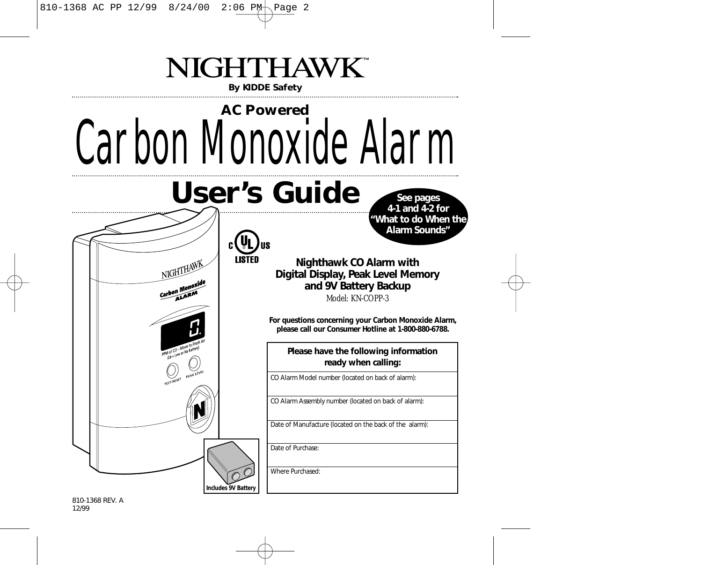

810-1368 REV. A 12/99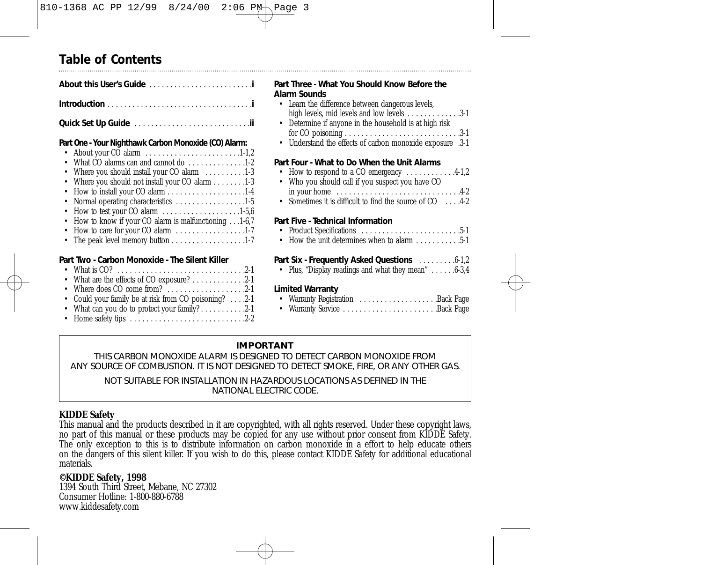## **Table of Contents**

**Quick Set Up Guide** . . . . . . . . . . . . . . . . . . . . . . . . . . . .**ii**

## **Part One - Your Nighthawk Carbon Monoxide (CO) Alarm:**

| • About your CO alarm $\dots \dots \dots \dots \dots \dots \dots \dots \dots \dots \dots \dots$ |
|-------------------------------------------------------------------------------------------------|
| • What CO alarms can and cannot do 1-2                                                          |
| • Where you should install your CO alarm 1-3                                                    |
| • Where you should not install your CO alarm 1-3                                                |
|                                                                                                 |
| • Normal operating characteristics 1-5                                                          |
| • How to test your CO alarm $\dots \dots \dots \dots \dots \dots \dots 1-5,6$                   |
| • How to know if your CO alarm is malfunctioning1-6.7                                           |
| • How to care for your CO alarm $\dots \dots \dots \dots \dots \dots 1-7$                       |
| • The peak level memory button $\dots \dots \dots \dots \dots \dots \dots 1-7$                  |
|                                                                                                 |
|                                                                                                 |

## **Part Two - Carbon Monoxide - The Silent Killer**

| • Where does CO come from? $\dots \dots \dots \dots \dots 2-1$    |  |
|-------------------------------------------------------------------|--|
| • Could your family be at risk from CO poisoning? 2-1             |  |
| • What can you do to protect your family? $\dots \dots \dots 2-1$ |  |
|                                                                   |  |
|                                                                   |  |

## **Part Three - What You Should Know Before the Alarm Sounds**

| • Learn the difference between dangerous levels,                     |
|----------------------------------------------------------------------|
| high levels, mid levels and low levels $\dots \dots \dots \dots 3-1$ |
| .                                                                    |

- Determine if anyone in the household is at high risk for CO poisoning . . . . . . . . . . . . . . . . . . . . . . . . . . . .3-1
- Understand the effects of carbon monoxide exposure .3-1

## **Part Four - What to Do When the Unit Alarms**

- How to respond to a CO emergency  $\dots \dots \dots 4-1,2$
- Who you should call if you suspect you have CO in your home . . . . . . . . . . . . . . . . . . . . . . . . . . . . . .4-2
- Sometimes it is difficult to find the source of CO . . . . . 4-2

## **Part Five - Technical Information**

- Product Specifications . . . . . . . . . . . . . . . . . . . . . . . .5-1
- How the unit determines when to alarm  $5-1$

## **Part Six - Frequently Asked Questions** . . . . . . . . .6-1,2

• Plus, "Display readings and what they mean" . . . . . . 6-3,4

## **Limited Warranty**

|  | • Warranty Registration Back Page |  |
|--|-----------------------------------|--|
|  | • Warranty Service Back Page      |  |

## **IMPORTANT**

THIS CARBON MONOXIDE ALARM IS DESIGNED TO DETECT CARBON MONOXIDE FROM ANY SOURCE OF COMBUSTION. IT IS NOT DESIGNED TO DETECT SMOKE, FIRE, OR ANY OTHER GAS.

NOT SUITABLE FOR INSTALLATION IN HAZARDOUS LOCATIONS AS DEFINED IN THE NATIONAL ELECTRIC CODE.

## **KIDDE Safety**

This manual and the products described in it are copyrighted, with all rights reserved. Under these copyright laws, no part of this manual or these products may be copied for any use without prior consent from KIDDE Safety. The only exception to this is to distribute information on carbon monoxide in a effort to help educate others on the dangers of this silent killer. If you wish to do this, please contact KIDDE Safety for additional educational materials.

## **©KIDDE Safety, 1998**

1394 South Third Street, Mebane, NC 27302 Consumer Hotline: 1-800-880-6788 www.kiddesafety.com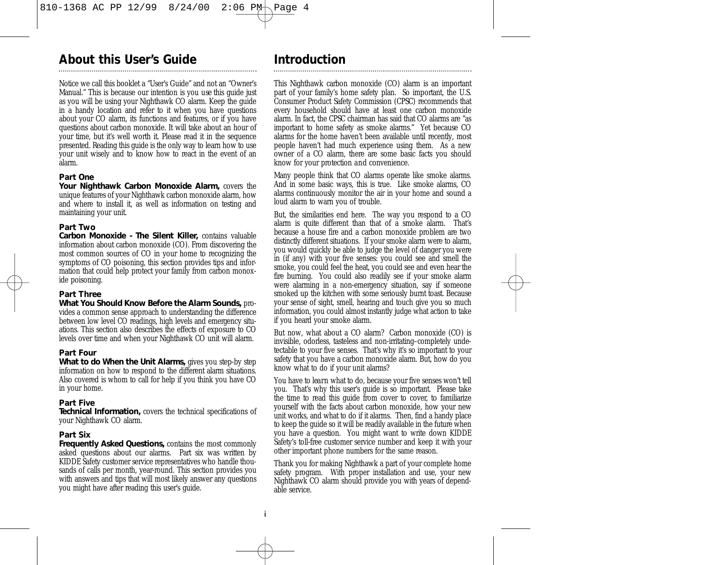## **About this User's Guide**

Notice we call this booklet a "User's Guide" and not an "Owner's Manual." This is because our intention is you *use* this guide just as you will be using your Nighthawk CO alarm. Keep the guide in a handy location and refer to it when you have questions about your CO alarm, its functions and features, or if you have questions about carbon monoxide. It will take about an hour of your time, but it's well worth it. Please read it in the sequence presented. Reading this guide is the only way to learn how to use your unit wisely and to know how to react in the event of an alarm.

## **Part One**

*Your Nighthawk Carbon Monoxide Alarm,* covers the unique features of your Nighthawk carbon monoxide alarm, how and where to install it, as well as information on testing and maintaining your unit.

## **Part Two**

*Carbon Monoxide - The Silent Killer,* contains valuable information about carbon monoxide (CO). From discovering the most common sources of CO in your home to recognizing the symptoms of CO poisoning, this section provides tips and information that could help protect your family from carbon monoxide poisoning.

## **Part Three**

*What You Should Know Before the Alarm Sounds,* provides a common sense approach to understanding the difference between low level CO readings, high levels and emergency situations. This section also describes the effects of exposure to CO levels over time and when your Nighthawk CO unit will alarm.

## **Part Four**

*What to do When the Unit Alarms,* gives you step-by step information on how to respond to the different alarm situations. Also covered is whom to call for help if you think you have CO in your home.

## **Part Five**

*Technical Information,* covers the technical specifications of your Nighthawk CO alarm.

## **Part Six**

*Frequently Asked Questions,* contains the most commonly asked questions about our alarms. Part six was written by KIDDE Safety customer service representatives who handle thousands of calls per month, year-round. This section provides you with answers and tips that will most likely answer any questions you might have after reading this user's guide.

## **Introduction**

This Nighthawk carbon monoxide (CO) alarm is an important part of your family's home safety plan. So important, the U.S. Consumer Product Safety Commission (CPSC) recommends that every household should have at least one carbon monoxide alarm. In fact, the CPSC chairman has said that CO alarms are "as important to home safety as smoke alarms." Yet because CO alarms for the home haven't been available until recently, most people haven't had much experience using them. As a new owner of a CO alarm, there are some basic facts you should know for your protection *and* convenience.

Many people think that CO alarms operate like smoke alarms. And in some basic ways, this is true. Like smoke alarms, CO alarms continuously monitor the air in your home and sound a loud alarm to warn you of trouble.

But, the similarities end here. The way you respond to a CO alarm is quite different than that of a smoke alarm. That's because a house fire and a carbon monoxide problem are two distinctly different situations. If your smoke alarm were to alarm, you would quickly be able to judge the level of danger you were in (if any) with your five senses: you could see and smell the smoke, you could feel the heat, you could see and even hear the fire burning. You could also readily see if your smoke alarm were alarming in a non-emergency situation, say if someone smoked up the kitchen with some seriously burnt toast. Because your sense of sight, smell, hearing and touch give you so much information, you could almost instantly judge what action to take if you heard your smoke alarm.

But now, what about a CO alarm? Carbon monoxide (CO) is invisible, odorless, tasteless and non-irritating–completely undetectable to your five senses. That's why it's so important to your safety that you have a carbon monoxide alarm. But, how do you know what to do if your unit alarms?

You have to *learn* what to do, because your five senses won't tell you. That's why this user's guide is so important. Please take the time to read this guide from cover to cover, to familiarize yourself with the facts about carbon monoxide, how your new unit works, and what to do if it alarms. Then, find a handy place to keep the guide so it will be readily available in the future when you have a question. You might want to write down KIDDE Safety's toll-free customer service number and keep it with your other important phone numbers for the same reason.

Thank you for making Nighthawk a part of your complete home safety program. With proper installation and use, your new Nighthawk CO alarm should provide you with years of dependable service.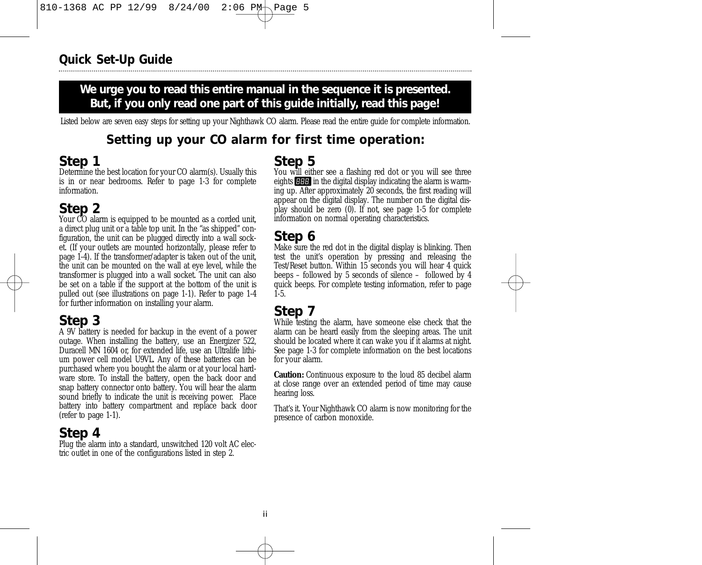## We urge you to read this entire manual in the sequence it is presented. **But, if you only read one part of this guide initially, read this page!**

Listed below are seven easy steps for setting up your Nighthawk CO alarm. Please read the entire guide for complete information.

## **Setting up your CO alarm for first time operation:**

## **Step 1**

Determine the best location for your CO alarm(s). Usually this is in or near bedrooms. Refer to page 1-3 for complete information.

## **Step 2**

Your CO alarm is equipped to be mounted as a corded unit, a direct plug unit or a table top unit. In the "as shipped" configuration, the unit can be plugged directly into a wall socket. (If your outlets are mounted horizontally, please refer to page 1-4). If the transformer/adapter is taken out of the unit, the unit can be mounted on the wall at eye level, while the transformer is plugged into a wall socket. The unit can also be set on a table if the support at the bottom of the unit is pulled out (see illustrations on page 1-1). Refer to page 1-4 for further information on installing your alarm.

## **Step 3**

A 9V battery is needed for backup in the event of a power outage. When installing the battery, use an Energizer 522, Duracell MN 1604 or, for extended life, use an Ultralife lithium power cell model U9VL. Any of these batteries can be purchased where you bought the alarm or at your local hardware store. To install the battery, open the back door and snap battery connector onto battery. You will hear the alarm sound briefly to indicate the unit is receiving power. Place battery into battery compartment and replace back door (refer to page 1-1).

## **Step 4**

Plug the alarm into a standard, unswitched 120 volt AC electric outlet in one of the configurations listed in step 2.

## **Step 5**

You will either see a flashing red dot or you will see three eights  $\blacksquare$  in the digital display indicating the alarm is warming up. After approximately 20 seconds, the first reading will appear on the digital display. The number on the digital display should be zero (0). If not, see page 1-5 for complete information on normal operating characteristics.

## **Step 6**

Make sure the red dot in the digital display is blinking. Then test the unit's operation by pressing and releasing the Test/Reset button. Within 15 seconds you will hear 4 quick beeps – followed by 5 seconds of silence – followed by 4 quick beeps. For complete testing information, refer to page 1-5.

## **Step 7**

While testing the alarm, have someone else check that the alarm can be heard easily from the sleeping areas. The unit should be located where it can wake you if it alarms at night. See page 1-3 for complete information on the best locations for your alarm.

**Caution:** Continuous exposure to the loud 85 decibel alarm at close range over an extended period of time may cause hearing loss.

That's it. Your Nighthawk CO alarm is now monitoring for the presence of carbon monoxide.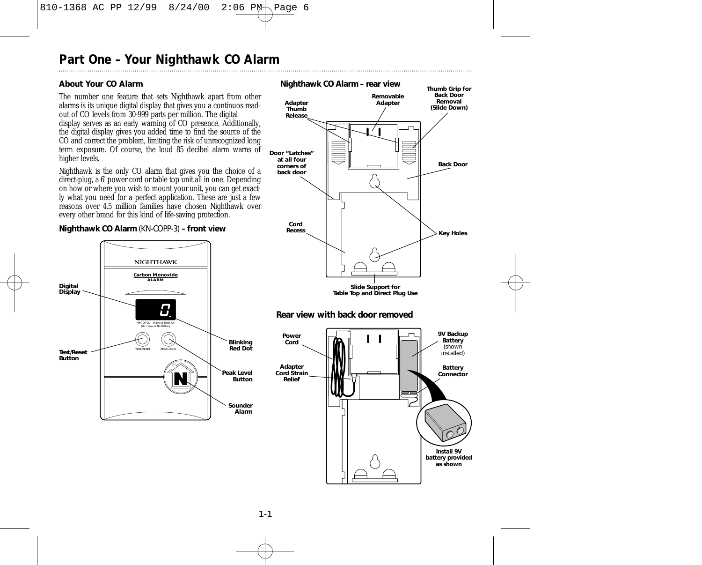## **About Your CO Alarm**

The number one feature that sets Nighthawk apart from other alarms is its unique digital display that gives you a continuos readout of CO levels from 30-999 parts per million. The digital display serves as an early warning of CO presence. Additionally, the digital display gives you added time to find the source of the CO and correct the problem, limiting the risk of unrecognized long term exposure. Of course, the loud 85 decibel alarm warns of higher levels.

Nighthawk is the only CO alarm that gives you the choice of a direct-plug, a 6' power cord or table top unit all in one. Depending on how or where you wish to mount your unit, you can get exactly what you need for a perfect application. These are just a few reasons over 4.5 million families have chosen Nighthawk over every other brand for this kind of life-saving protection.

### *Nighthawk CO Alarm (KN-COPP-3) – front view*





*Nighthawk CO Alarm – rear view*

### 1-1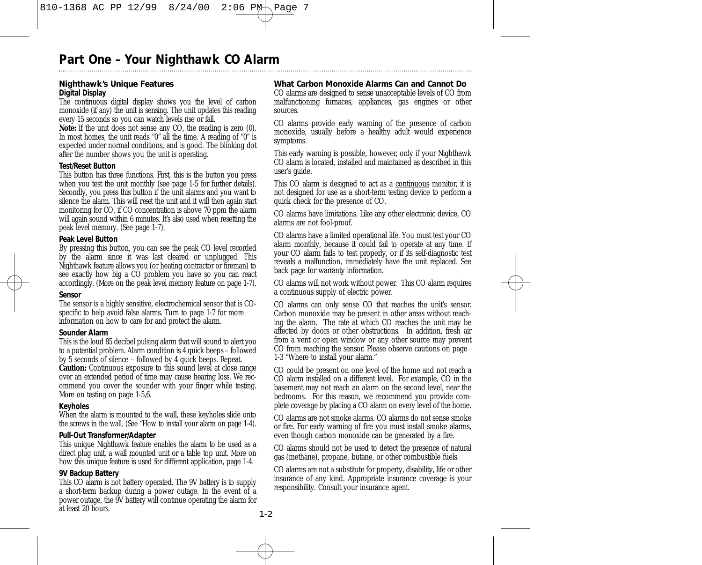### **Nighthawk's Unique Features** *Digital Display*

The continuous digital display shows you the level of carbon monoxide (if any) the unit is sensing. The unit updates this reading every 15 seconds so you can watch levels rise or fall.

Note: If the unit does not sense any CO, the reading is zero (0). In most homes, the unit reads "0" all the time. A reading of "0" is expected under normal conditions, and is good. The blinking dot after the number shows you the unit is operating.

#### *Test/Reset Button*

This button has three functions. First, this is the button you press when you test the unit monthly (see page 1-5 for further details). Secondly, you press this button if the unit alarms and you want to silence the alarm. This will *reset* the unit and it will then again start monitoring for CO, if CO concentration is above 70 ppm the alarm will again sound within 6 minutes. It's also used when resetting the peak level memory. (See page 1-7).

### *Peak Level Button*

By pressing this button, you can see the peak CO level recorded by the alarm since it was last cleared or unplugged. This Nighthawk feature allows you (or heating contractor or fireman) to see exactly how big a CO problem you have so you can react accordingly. (More on the peak level memory feature on page 1-7).

### *Sensor*

The sensor is a highly sensitive, electrochemical sensor that is COspecific to help avoid false alarms. Turn to page 1-7 for more information on how to care for and protect the alarm.

### *Sounder Alarm*

This is the loud 85 decibel pulsing alarm that will sound to alert you to a potential problem. Alarm condition is 4 quick beeps – followed by 5 seconds of silence – followed by 4 quick beeps. Repeat.

**Caution:** Continuous exposure to this sound level at close range over an extended period of time may cause hearing loss. We recommend you cover the sounder with your finger while testing. More on testing on page 1-5,6.

### *Keyholes*

When the alarm is mounted to the wall, these keyholes slide onto the screws in the wall. (See "How to install your alarm on page 1-4).

### *Pull-Out Transformer/Adapter*

This unique Nighthawk feature enables the alarm to be used as a direct plug unit, a wall mounted unit or a table top unit. More on how this unique feature is used for different application, page 1-4.

### *9V Backup Battery*

This CO alarm is not battery operated. The 9V battery is to supply a short-term backup during a power outage. In the event of a power outage, the 9V battery will continue operating the alarm for at least 20 hours.

## **What Carbon Monoxide Alarms Can and Cannot Do**

CO alarms are designed to sense unacceptable levels of CO from malfunctioning furnaces, appliances, gas engines or other sources.

CO alarms provide early warning of the presence of carbon monoxide, usually before a healthy adult would experience symptoms.

This early warning is possible, however, only if your Nighthawk CO alarm is located, installed and maintained as described in this user's guide.

This CO alarm is designed to act as a continuous monitor, it is not designed for use as a short-term testing device to perform a quick check for the presence of CO.

CO alarms have limitations. Like any other electronic device, CO alarms are not fool-proof.

CO alarms have a limited operational life. You must test your CO alarm monthly, because it could fail to operate at any time. If your CO alarm fails to test properly, or if its self-diagnostic test reveals a malfunction, immediately have the unit replaced. See back page for warranty information.

CO alarms will not work without power. This CO alarm requires a continuous supply of electric power.

CO alarms can only sense CO that reaches the unit's sensor. Carbon monoxide may be present in other areas without reaching the alarm. The rate at which CO reaches the unit may be affected by doors or other obstructions. In addition, fresh air from a vent or open window or any other source may prevent CO from reaching the sensor. Please observe cautions on page 1-3 "Where to install your alarm."

CO could be present on one level of the home and not reach a CO alarm installed on a different level. For example, CO in the basement may not reach an alarm on the second level, near the bedrooms. For this reason, we recommend you provide complete coverage by placing a CO alarm on every level of the home.

CO alarms are not smoke alarms. CO alarms do not sense smoke or fire. For early warning of fire you must install smoke alarms, even though carbon monoxide can be generated by a fire.

CO alarms should not be used to detect the presence of natural gas (methane), propane, butane, or other combustible fuels.

CO alarms are not a substitute for property, disability, life or other insurance of any kind. Appropriate insurance coverage is your responsibility. Consult your insurance agent.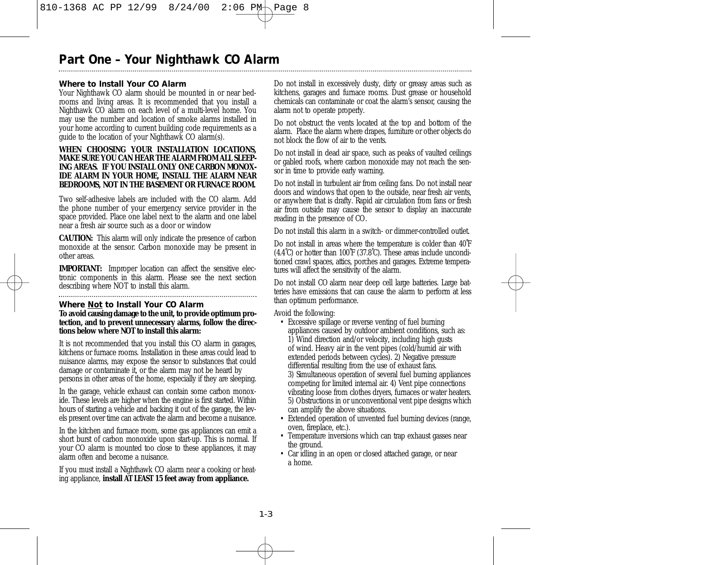## **Where to Install Your CO Alarm**

Your Nighthawk CO alarm should be mounted in or near bedrooms and living areas. It is recommended that you install a Nighthawk CO alarm on each level of a multi-level home. You may use the number and location of smoke alarms installed in your home according to current building code requirements as a guide to the location of your Nighthawk CO alarm(s).

#### **WHEN CHOOSING YOUR INSTALLATION LOCATIONS, MAKE SURE YOU CAN HEAR THE ALARM FROM ALL SLEEP-ING AREAS. IF YOU INSTALL ONLY ONE CARRON MONOX-IDE ALARM IN YOUR HOME, INSTALL THE ALARM NEAR BEDROOMS, NOT IN THE BASEMENT OR FURNACE ROOM.**

Two self-adhesive labels are included with the CO alarm. Add the phone number of your emergency service provider in the space provided. Place one label next to the alarm and one label near a fresh air source such as a door or window

**CAUTION:** This alarm will only indicate the presence of carbon monoxide at the sensor. Carbon monoxide may be present in other areas.

**IMPORTANT:** Improper location can affect the sensitive electronic components in this alarm. Please see the next section describing where NOT to install this alarm.

## 

**Where Not to Install Your CO Alarm To avoid causing damage to the unit, to provide optimum protection, and to prevent unnecessary alarms, follow the directions below where NOT to install this alarm:**

It is not recommended that you install this CO alarm in garages, kitchens or furnace rooms. Installation in these areas could lead to nuisance alarms, may expose the sensor to substances that could damage or contaminate it, or the alarm may not be heard by persons in other areas of the home, especially if they are sleeping.

In the garage, vehicle exhaust can contain some carbon monoxide. These levels are higher when the engine is first started. Within hours of starting a vehicle and backing it out of the garage, the levels present over time can activate the alarm and become a nuisance.

In the kitchen and furnace room, some gas appliances can emit a short burst of carbon monoxide upon start-up. This is normal. If your CO alarm is mounted too close to these appliances, it may alarm often and become a nuisance.

If you must install a Nighthawk CO alarm near a cooking or heating appliance, **install AT LEAST 15 feet away from appliance.**

Do not install in excessively dusty, dirty or greasy areas such as kitchens, garages and furnace rooms. Dust grease or household chemicals can contaminate or coat the alarm's sensor, causing the alarm not to operate properly.

Do not obstruct the vents located at the top and bottom of the alarm. Place the alarm where drapes, furniture or other objects do not block the flow of air to the vents.

Do not install in dead air space, such as peaks of vaulted ceilings or gabled roofs, where carbon monoxide may not reach the sensor in time to provide early warning.

Do not install in turbulent air from ceiling fans. Do not install near doors and windows that open to the outside, near fresh air vents, or anywhere that is drafty. Rapid air circulation from fans or fresh air from outside may cause the sensor to display an inaccurate reading in the presence of CO.

Do not install this alarm in a switch- or dimmer-controlled outlet.

Do not install in areas where the temperature is colder than 40˚F (4.4˚C) or hotter than 100˚F (37.8˚C). These areas include unconditioned crawl spaces, attics, porches and garages. Extreme temperatures will affect the sensitivity of the alarm.

Do not install CO alarm near deep cell large batteries. Large batteries have emissions that can cause the alarm to perform at less than optimum performance.

Avoid the following:

- Excessive spillage or reverse venting of fuel burning appliances caused by outdoor ambient conditions, such as: 1) Wind direction and/or velocity, including high gusts of wind. Heavy air in the vent pipes (cold/humid air with extended periods between cycles). 2) Negative pressure differential resulting from the use of exhaust fans. 3) Simultaneous operation of several fuel burning appliances competing for limited internal air. 4) Vent pipe connections vibrating loose from clothes dryers, furnaces or water heaters. 5) Obstructions in or unconventional vent pipe designs which can amplify the above situations.
- Extended operation of unvented fuel burning devices (range, oven, fireplace, etc.).
- Temperature inversions which can trap exhaust gasses near the ground.
- Car idling in an open or closed attached garage, or near a home.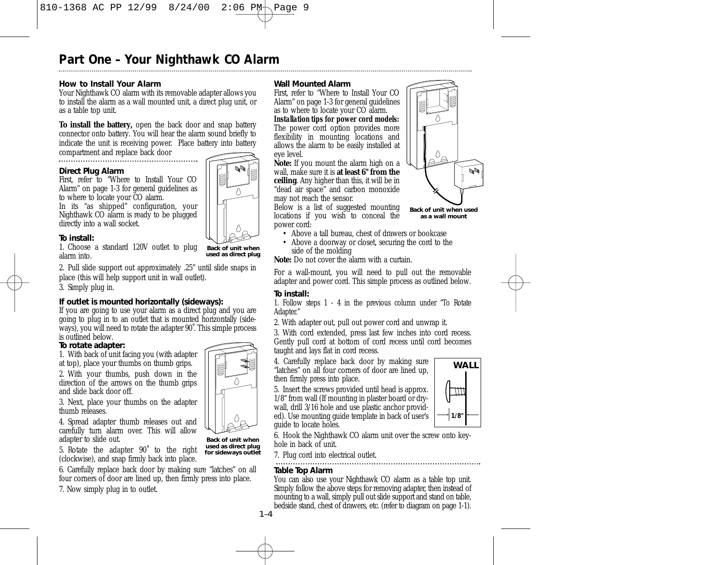## **How to Install Your Alarm**

Your Nighthawk CO alarm with its removable adapter allows you to install the alarm as a wall mounted unit, a direct plug unit, or as a table top unit.

**To install the battery,** open the back door and snap battery connector onto battery. You will hear the alarm sound briefly to indicate the unit is receiving power. Place battery into battery

compartment and replace back door

### **Direct Plug Alarm**

First, refer to "Where to Install Your CO Alarm" on page 1-3 for general guidelines as to where to locate your CO alarm.

In its "as shipped" configuration, your Nighthawk CO alarm is ready to be plugged directly into a wall socket.

## **To install:**

1. Choose a standard 120V outlet to plug alarm into.

2. Pull slide support out approximately .25" until slide snaps in place (this will help support unit in wall outlet).

3. Simply plug in.

## **If outlet is mounted horizontally (sideways):**

If you are going to use your alarm as a direct plug and you are going to plug in to an outlet that is mounted horizontally (sideways), you will need to rotate the adapter 90˚. This simple process is outlined below.

## **To rotate adapter:**

1. With back of unit facing you (with adapter at top), place your thumbs on thumb grips.

2. With your thumbs, push down in the direction of the arrows on the thumb grips and slide back door off.

3. Next, place your thumbs on the adapter thumb releases.

4. Spread adapter thumb releases out and carefully turn alarm over. This will allow adapter to slide out.

5. Rotate the adapter 90˚ to the right (clockwise), and snap firmly back into place.

6. Carefully replace back door by making sure "latches" on all four corners of door are lined up, then firmly press into place.

7. Now simply plug in to outlet.

### **Wall Mounted Alarm**

First, refer to "Where to Install Your CO Alarm" on page 1-3 for general guidelines as to where to locate your CO alarm.

*Installation tips for power cord models:* The power cord option provides more flexibility in mounting locations and allows the alarm to be easily installed at eye level.

**Note:** If you mount the alarm high on a wall, make sure it is **at least 6" from the ceiling**. Any higher than this, it will be in "dead air space" and carbon monoxide may not reach the sensor.

Below is a list of suggested mounting locations if you wish to conceal the power cord:

**Back of unit when used as a wall mount**

- Above a tall bureau, chest of drawers or bookcase
- Above a doorway or closet, securing the cord to the side of the molding

**Note:** Do not cover the alarm with a curtain.

For a wall-mount, you will need to pull out the removable adapter and power cord. This simple process as outlined below.

## **To install:**

1. Follow steps 1 - 4 in the previous column under "To Rotate Adapter."

2. With adapter out, pull out power cord and unwrap it.

3. With cord extended, press last few inches into cord recess. Gently pull cord at bottom of cord recess until cord becomes taught and lays flat in cord recess.

4. Carefully replace back door by making sure "latches" on all four corners of door are lined up, then firmly press into place.

5. Insert the screws provided until head is approx. 1/8" from wall (If mounting in plaster board or drywall, drill 3/16 hole and use plastic anchor provided). Use mounting guide template in back of user's guide to locate holes.

**WALL** ™ **1/8"**

6. Hook the Nighthawk CO alarm unit over the screw onto keyhole in back of unit.

7. Plug cord into electrical outlet.

## **Table Top Alarm**

You can also use your Nighthawk CO alarm as a table top unit. Simply follow the above steps for removing adapter, then instead of mounting to a wall, simply pull out slide support and stand on table, bedside stand, chest of drawers, etc. (refer to diagram on page 1-1).

 $1 - 4$ 



**Back of unit when used as direct plug for sideways outlet**





**Back of unit when used as direct plug**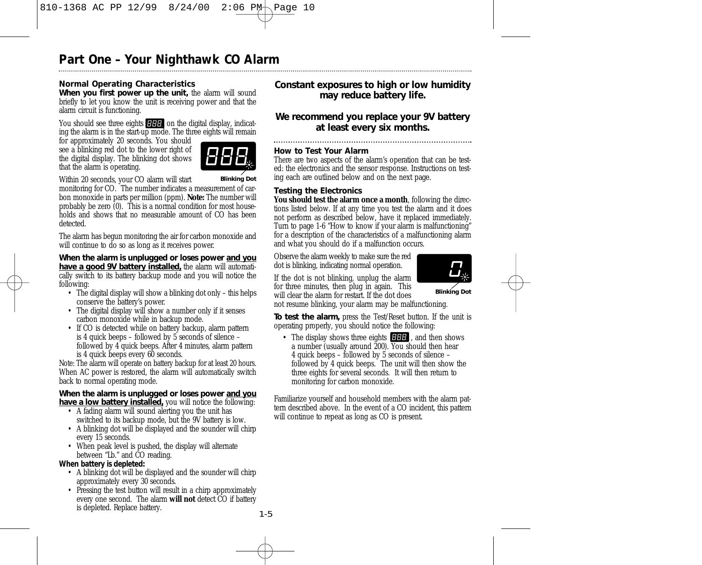## **Normal Operating Characteristics**

*When you first power up the unit,* the alarm will sound briefly to let you know the unit is receiving power and that the alarm circuit is functioning.

You should see three eights **EFFE** on the digital display, indicating the alarm is in the start-up mode. The three eights will remain

for approximately 20 seconds. You should see a blinking red dot to the lower right of the digital display. The blinking dot shows that the alarm is operating.



Within 20 seconds, your CO alarm will start

monitoring for CO. The number indicates a measurement of carbon monoxide in parts per million (ppm). **Note:** The number will probably be zero (0). This is a normal condition for most households and shows that no measurable amount of CO has been detected.

The alarm has begun monitoring the air for carbon monoxide and will continue to do so as long as it receives power.

*When the alarm is unplugged or loses power and you have a good 9V battery installed,* the alarm will automatically switch to its battery backup mode and you will notice the following:

- The digital display will show a blinking dot only this helps conserve the battery's power.
- The digital display will show a number only if it senses carbon monoxide while in backup mode.
- If CO is detected while on battery backup, alarm pattern is 4 quick beeps – followed by 5 seconds of silence – followed by 4 quick beeps. After 4 minutes, alarm pattern is 4 quick beeps every 60 seconds.

Note: The alarm will operate on battery backup for at least 20 hours. When AC power is restored, the alarm will automatically switch back to normal operating mode.

### *When the alarm is unplugged or loses power and you have a low battery installed,* you will notice the following:

- A fading alarm will sound alerting you the unit has switched to its backup mode, but the 9V battery is low.
- A blinking dot will be displayed and the sounder will chirp every 15 seconds.
- When peak level is pushed, the display will alternate between "Lb." and CO reading.

## *When battery is depleted:*

- A blinking dot will be displayed and the sounder will chirp approximately every 30 seconds.
- Pressing the test button will result in a chirp approximately every one second. The alarm **will not** detect CO if battery is depleted. Replace battery.

## *Constant exposures to high or low humidity may reduce battery life.*

## *We recommend you replace your 9V battery at least every six months.*

## **How to Test Your Alarm**

There are two aspects of the alarm's operation that can be tested: the electronics and the sensor response. Instructions on testing each are outlined below and on the next page.

## **Testing the Electronics**

**You should test the alarm once a month**, following the directions listed below. If at any time you test the alarm and it does not perform as described below, have it replaced immediately. Turn to page 1-6 "How to know if your alarm is malfunctioning" for a description of the characteristics of a malfunctioning alarm and what you should do if a malfunction occurs.

Observe the alarm weekly to make sure the red dot is blinking, indicating normal operation.



If the dot is not blinking, unplug the alarm for three minutes, then plug in again. This will clear the alarm for restart. If the dot does

**Blinking Dot**

not resume blinking, your alarm may be malfunctioning.

*To test the alarm,* press the Test/Reset button. If the unit is operating properly, you should notice the following:

• The display shows three eights **HHH**, and then shows a number (usually around 200). You should then hear 4 quick beeps – followed by 5 seconds of silence – followed by 4 quick beeps. The unit will then show the three eights for several seconds. It will then return to monitoring for carbon monoxide.

Familiarize yourself and household members with the alarm pattern described above. In the event of a CO incident, this pattern will continue to repeat as long as CO is present.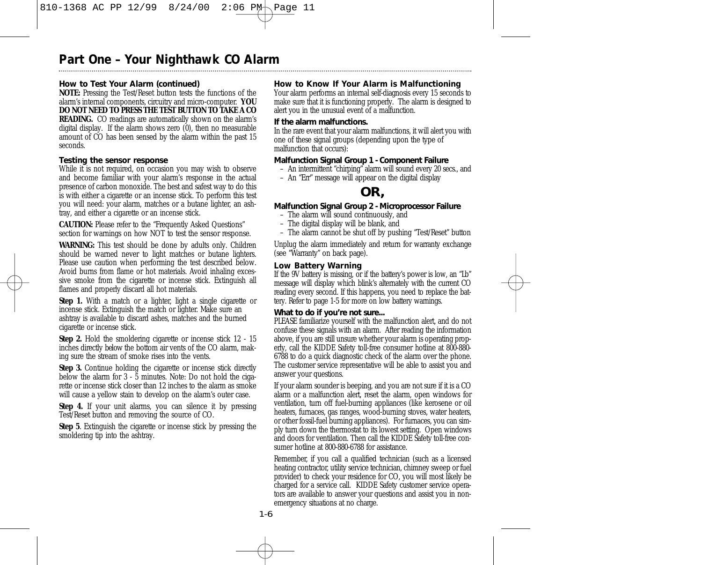## **How to Test Your Alarm (continued)**

**NOTE:** Pressing the Test/Reset button tests the functions of the alarm's internal components, circuitry and micro-computer. **YOU DO NOT NEED TO PRESS THE TEST BUTTON TO TAKE A CO READING.** CO readings are automatically shown on the alarm's digital display. If the alarm shows zero (0), then no measurable amount of CO has been sensed by the alarm within the past 15 seconds.

### **Testing the sensor response**

While it is not required, on occasion you may wish to observe and become familiar with your alarm's response in the actual presence of carbon monoxide. The best and safest way to do this is with either a cigarette or an incense stick. To perform this test you will need: your alarm, matches or a butane lighter, an ashtray, and either a cigarette or an incense stick.

**CAUTION:** Please refer to the "Frequently Asked Questions" section for warnings on how NOT to test the sensor response.

**WARNING:** This test should be done by adults only. Children should be warned never to light matches or butane lighters. Please use caution when performing the test described below. Avoid burns from flame or hot materials. Avoid inhaling excessive smoke from the cigarette or incense stick. Extinguish all flames and properly discard all hot materials.

**Step 1.** With a match or a lighter, light a single cigarette or incense stick. Extinguish the match or lighter. Make sure an ashtray is available to discard ashes, matches and the burned cigarette or incense stick.

**Step 2.** Hold the smoldering cigarette or incense stick 12 - 15 inches directly *below* the bottom air vents of the CO alarm, making sure the stream of smoke rises into the vents.

**Step 3.** Continue holding the cigarette or incense stick directly below the alarm for 3 - 5 minutes. Note: Do not hold the cigarette or incense stick closer than 12 inches to the alarm as smoke *will* cause a yellow stain to develop on the alarm's outer case.

**Step 4.** If your unit alarms, you can silence it by pressing Test/Reset button and removing the source of CO.

**Step 5**. Extinguish the cigarette or incense stick by pressing the smoldering tip into the ashtray.

## **How to Know If Your Alarm is Malfunctioning**

Your alarm performs an internal self-diagnosis every 15 seconds to make sure that it is functioning properly. The alarm is designed to alert you in the unusual event of a malfunction.

## **If the alarm malfunctions.**

In the rare event that your alarm malfunctions, it will alert you with one of these signal groups (depending upon the type of malfunction that occurs):

### **Malfunction Signal Group 1 - Component Failure**

- An intermittent "chirping" alarm will sound every 20 secs., and
- An "Err" message will appear on the digital display

## **OR,**

### **Malfunction Signal Group 2 - Microprocessor Failure**

- The alarm will sound continuously, and
- The digital display will be blank, and
- The alarm cannot be shut off by pushing "Test/Reset" button

Unplug the alarm immediately and return for warranty exchange (see "Warranty" on back page).

### **Low Battery Warning**

If the 9V battery is missing, or if the battery's power is low, an "Lb" message will display which blink's alternately with the current CO reading every second. If this happens, you need to replace the battery. Refer to page 1-5 for more on low battery warnings.

### **What to do if you're not sure...**

PLEASE familiarize yourself with the malfunction alert, and do not confuse these signals with an alarm. After reading the information above, if you are still unsure whether your alarm is operating properly, call the KIDDE Safety toll-free consumer hotline at 800-880- 6788 to do a quick diagnostic check of the alarm over the phone. The customer service representative will be able to assist you and answer your questions.

If your alarm sounder is beeping, and you are not sure if it is a CO alarm or a malfunction alert, reset the alarm, open windows for ventilation, turn off fuel-burning appliances (like kerosene or oil heaters, furnaces, gas ranges, wood-burning stoves, water heaters, or other fossil-fuel burning appliances). For furnaces, you can simply turn down the thermostat to its lowest setting. Open windows and doors for ventilation. Then call the KIDDE Safety toll-free consumer hotline at 800-880-6788 for assistance.

Remember, if you call a qualified technician (such as a licensed heating contractor, utility service technician, chimney sweep or fuel provider) to check your residence for CO, you will most likely be charged for a service call. KIDDE Safety customer service operators are available to answer your questions and assist you in nonemergency situations at no charge.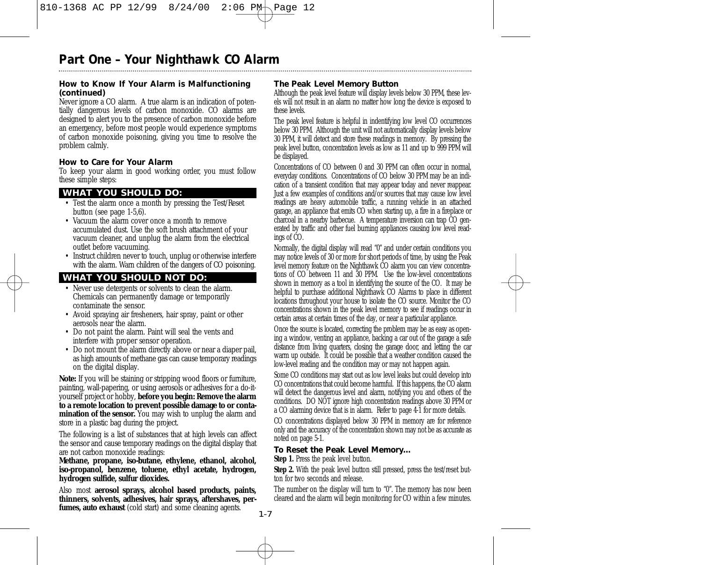## **How to Know If Your Alarm is Malfunctioning (continued)**

Never ignore a CO alarm. A true alarm is an indication of potentially dangerous levels of carbon monoxide. CO alarms are designed to alert you to the presence of carbon monoxide before an emergency, before most people would experience symptoms of carbon monoxide poisoning, giving you time to resolve the problem calmly.

## **How to Care for Your Alarm**

To keep your alarm in good working order, you must follow these simple steps:

## **WHAT YOU SHOULD DO:**

- Test the alarm once a month by pressing the Test/Reset button (see page 1-5,6).
- Vacuum the alarm cover once a month to remove accumulated dust. Use the soft brush attachment of your vacuum cleaner, and unplug the alarm from the electrical outlet before vacuuming.
- Instruct children never to touch, unplug or otherwise interfere with the alarm. Warn children of the dangers of CO poisoning.

## **WHAT YOU SHOULD NOT DO:**

- Never use detergents or solvents to clean the alarm. Chemicals can permanently damage or temporarily contaminate the sensor.
- Avoid spraying air fresheners, hair spray, paint or other aerosols near the alarm.
- Do not paint the alarm. Paint will seal the vents and interfere with proper sensor operation.
- Do not mount the alarm directly above or near a diaper pail, as high amounts of methane gas can cause temporary readings on the digital display.

**Note:** If you will be staining or stripping wood floors or furniture, painting, wall-papering, or using aerosols or adhesives for a do-ityourself project or hobby, **before you begin: Remove the alarm to a remote location to prevent possible damage to or contamination of the sensor.** You may wish to unplug the alarm and store in a plastic bag during the project.

The following is a list of substances that at high levels can affect the sensor and cause temporary readings on the digital display that are not carbon monoxide readings:

**Methane, propane, iso-butane, ethylene, ethanol, alcohol, iso-propanol, benzene, toluene, ethyl acetate, hydrogen, hydrogen sulfide, sulfur dioxides.** 

Also most **aerosol sprays, alcohol based products, paints, thinners, solvents, adhesives, hair sprays, aftershaves, perfumes, auto exhaust** (cold start) and some cleaning agents.

## **The Peak Level Memory Button**

Although the peak level feature will display levels below 30 PPM, these levels will not result in an alarm no matter how long the device is exposed to these levels.

The peak level feature is helpful in indentifying low level CO occurrences below 30 PPM. Although the unit will not automatically display levels below 30 PPM, it will detect and store these readings in memory. By pressing the peak level button, concentration levels as low as 11 and up to 999 PPM will be displayed.

Concentrations of CO between 0 and 30 PPM can often occur in normal everyday conditions. Concentrations of CO below 30 PPM may be an indication of a transient condition that may appear today and never reappear. Just a few examples of conditions and/or sources that may cause low level readings are heavy automobile traffic, a running vehicle in an attached garage, an appliance that emits CO when starting up, a fire in a fireplace or charcoal in a nearby barbecue. A temperature inversion can trap CO generated by traffic and other fuel burning appliances causing low level readings of CO.

Normally, the digital display will read "0" and under certain conditions you may notice levels of 30 or more for short periods of time, by using the Peak level memory feature on the Nighthawk CO alarm you can view concentrations of CO between 11 and 30 PPM. Use the low-level concentrations shown in memory as a tool in identifying the source of the CO. It may be helpful to purchase additional Nighthawk CO Alarms to place in different locations throughout your house to isolate the CO source. Monitor the CO concentrations shown in the peak level memory to see if readings occur in certain areas at certain times of the day, or near a particular appliance.

Once the source is located, correcting the problem may be as easy as opening a window, venting an appliance, backing a car out of the garage a safe distance from living quarters, closing the garage door, and letting the car warm up outside. It could be possible that a weather condition caused the low-level reading and the condition may or may not happen again.

Some CO conditions may start out as low level leaks but could develop into CO concentrations that could become harmful. If this happens, the CO alarm will detect the dangerous level and alarm, notifying you and others of the conditions. DO NOT ignore high concentration readings above 30 PPM or a CO alarming device that is in alarm. Refer to page 4-1 for more details.

CO concentrations displayed below 30 PPM in memory are for reference only and the accuracy of the concentration shown may not be as accurate as noted on page 5-1.

## **To Reset the Peak Level Memory…**

**Step 1.** Press the peak level button.

**Step 2.** With the peak level button still pressed, press the test/reset button for two seconds and release.

The number on the display will turn to "0". The memory has now been cleared and the alarm will begin monitoring for CO within a few minutes.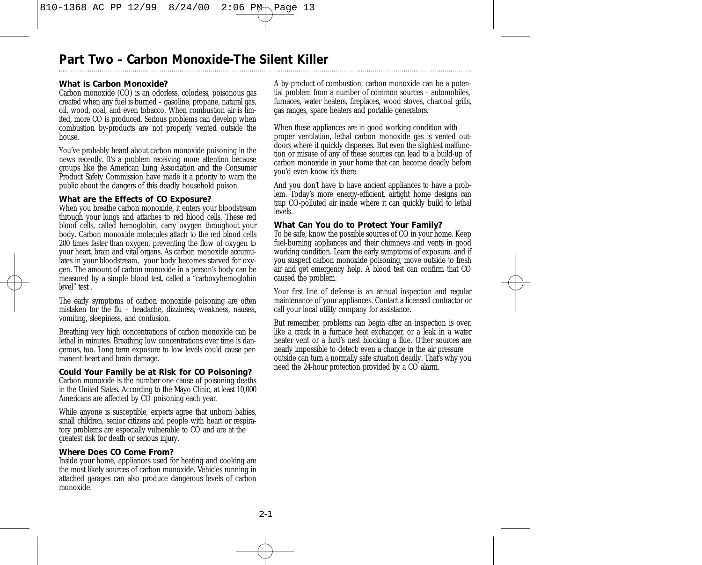## **Part Two – Carbon Monoxide-The Silent Killer**

## **What is Carbon Monoxide?**

Carbon monoxide (CO) is an odorless, colorless, poisonous gas created when any fuel is burned – gasoline, propane, natural gas, oil, wood, coal, and even tobacco. When combustion air is limited, more CO is produced. Serious problems can develop when combustion by-products are not properly vented outside the house.

You've probably heard about carbon monoxide poisoning in the news recently. It's a problem receiving more attention because groups like the American Lung Association and the Consumer Product Safety Commission have made it a priority to warn the public about the dangers of this deadly household poison.

### **What are the Effects of CO Exposure?**

When you breathe carbon monoxide, it enters your bloodstream through your lungs and attaches to red blood cells. These red blood cells, called hemoglobin, carry oxygen throughout your body. Carbon monoxide molecules attach to the red blood cells 200 times faster than oxygen, preventing the flow of oxygen to your heart, brain and vital organs. As carbon monoxide accumulates in your bloodstream, your body becomes starved for oxygen. The amount of carbon monoxide in a person's body can be measured by a simple blood test, called a "carboxyhemoglobin level" test .

The early symptoms of carbon monoxide poisoning are often mistaken for the flu – headache, dizziness, weakness, nausea, vomiting, sleepiness, and confusion.

Breathing very high concentrations of carbon monoxide can be lethal in minutes. Breathing low concentrations over time is dangerous, too. Long term exposure to low levels could cause permanent heart and brain damage.

## **Could Your Family be at Risk for CO Poisoning?**

Carbon monoxide is the number one cause of poisoning deaths in the United States. According to the Mayo Clinic, at least 10,000 Americans are affected by CO poisoning each year.

While anyone is susceptible, experts agree that unborn babies, small children, senior citizens and people with heart or respiratory problems are especially vulnerable to CO and are at the greatest risk for death or serious injury.

## **Where Does CO Come From?**

Inside your home, appliances used for heating and cooking are the most likely sources of carbon monoxide. Vehicles running in attached garages can also produce dangerous levels of carbon monoxide.

A by-product of combustion, carbon monoxide can be a potential problem from a number of common sources – automobiles, furnaces, water heaters, fireplaces, wood stoves, charcoal grills, gas ranges, space heaters and portable generators.

When these appliances are in good working condition with proper ventilation, lethal carbon monoxide gas is vented outdoors where it quickly disperses. But even the slightest malfunction or misuse of any of these sources can lead to a build-up of carbon monoxide in your home that can become deadly before you'd even know it's there.

And you don't have to have ancient appliances to have a problem. Today's more energy-efficient, airtight home designs can trap CO-polluted air inside where it can quickly build to lethal  $\hat{ev}$ els.

### **What Can You do to Protect Your Family?**

To be safe, know the possible sources of CO in your home. Keep fuel-burning appliances and their chimneys and vents in good working condition. Learn the early symptoms of exposure, and if you suspect carbon monoxide poisoning, move outside to fresh air and get emergency help. A blood test can confirm that CO caused the problem.

Your first line of defense is an annual inspection and regular maintenance of your appliances. Contact a licensed contractor or call your local utility company for assistance.

But remember, problems can begin after an inspection is over, like a crack in a furnace heat exchanger, or a leak in a water heater vent or a bird's nest blocking a flue. Other sources are nearly impossible to detect: even a change in the air pressure outside can turn a normally safe situation deadly. That's why you need the 24-hour protection provided by a CO alarm.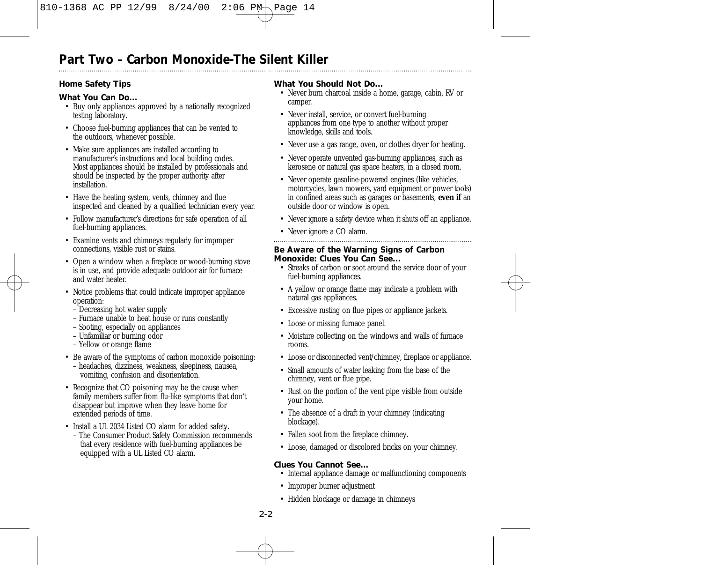## **Part Two – Carbon Monoxide-The Silent Killer**

## **Home Safety Tips**

## **What You Can Do...**

- Buy only appliances approved by a nationally recognized testing laboratory.
- Choose fuel-burning appliances that can be vented to the outdoors, whenever possible.
- Make sure appliances are installed according to manufacturer's instructions and local building codes. Most appliances should be installed by professionals and should be inspected by the proper authority after installation.
- Have the heating system, vents, chimney and flue inspected and cleaned by a qualified technician every year.
- Follow manufacturer's directions for safe operation of all fuel-burning appliances.
- Examine vents and chimneys regularly for improper connections, visible rust or stains.
- Open a window when a fireplace or wood-burning stove is in use, and provide adequate outdoor air for furnace and water heater.
- Notice problems that could indicate improper appliance operation:
	- Decreasing hot water supply
	- Furnace unable to heat house or runs constantly
	- Sooting, especially on appliances
	- Unfamiliar or burning odor
	- Yellow or orange flame
- Be aware of the symptoms of carbon monoxide poisoning: – headaches, dizziness, weakness, sleepiness, nausea, vomiting, confusion and disorientation.
- Recognize that CO poisoning may be the cause when family members suffer from flu-like symptoms that don't disappear but improve when they leave home for extended periods of time.
- Install a UL 2034 Listed CO alarm for added safety.
	- The Consumer Product Safety Commission recommends that every residence with fuel-burning appliances be equipped with a UL Listed CO alarm.

## **What You Should Not Do...**

- Never burn charcoal inside a home, garage, cabin, RV or camper.
- Never install, service, or convert fuel-burning appliances from one type to another without proper knowledge, skills and tools.
- Never use a gas range, oven, or clothes dryer for heating.
- Never operate unvented gas-burning appliances, such as kerosene or natural gas space heaters, in a closed room.
- Never operate gasoline-powered engines (like vehicles, motorcycles, lawn mowers, yard equipment or power tools) in confined areas such as garages or basements, **even if** an outside door or window is open.
- Never ignore a safety device when it shuts off an appliance.
- Never ignore a CO alarm.

## **Be Aware of the Warning Signs of Carbon Monoxide: Clues You Can See...**

- Streaks of carbon or soot around the service door of your fuel-burning appliances.
- A yellow or orange flame may indicate a problem with natural gas appliances.
- Excessive rusting on flue pipes or appliance jackets.
- Loose or missing furnace panel.
- Moisture collecting on the windows and walls of furnace rooms.
- Loose or disconnected vent/chimney, fireplace or appliance.
- Small amounts of water leaking from the base of the chimney, vent or flue pipe.
- Rust on the portion of the vent pipe visible from outside your home.
- The absence of a draft in your chimney (indicating blockage).
- Fallen soot from the fireplace chimney.
- Loose, damaged or discolored bricks on your chimney.

## **Clues You Cannot See...**

- Internal appliance damage or malfunctioning components
- Improper burner adjustment
- Hidden blockage or damage in chimneys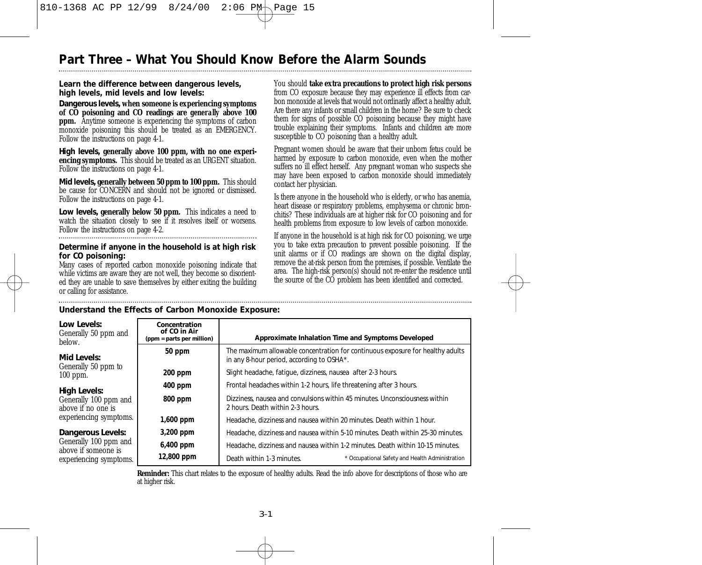## **Part Three – What You Should Know Before the Alarm Sounds**

### **Learn the difference between dangerous levels, high levels, mid levels and low levels:**

*Dangerous levels,* **when someone is experiencing symptoms of CO poisoning and CO readings are** *generally* **above 100 ppm.** Anytime someone is experiencing the symptoms of carbon monoxide poisoning this should be treated as an EMERGENCY. Follow the instructions on page 4-1.

*High levels,* **generally above 100 ppm, with no one experiencing symptoms.** This should be treated as an URGENT situation. Follow the instructions on page 4-1.

*Mid levels,* **generally between 50 ppm to 100 ppm.** This should be cause for CONCERN and should not be ignored or dismissed. Follow the instructions on page 4-1.

*Low levels,* **generally below 50 ppm.** This indicates a need to watch the situation closely to see if it resolves itself or worsens. Follow the instructions on page 4-2.

#### **Determine if anyone in the household is at high risk for CO poisoning:**

Many cases of reported carbon monoxide poisoning indicate that while victims are aware they are not well, they become so disoriented they are unable to save themselves by either exiting the building or calling for assistance.

You should **take extra precautions to protect high risk persons** from CO exposure because they may experience ill effects from carbon monoxide at levels that would not ordinarily affect a healthy adult. Are there any infants or small children in the home? Be sure to check them for signs of possible CO poisoning because they might have trouble explaining their symptoms. Infants and children are more susceptible to CO poisoning than a healthy adult.

Pregnant women should be aware that their unborn fetus could be harmed by exposure to carbon monoxide, even when the mother suffers no ill effect herself. Any pregnant woman who suspects she may have been exposed to carbon monoxide should immediately contact her physician.

Is there anyone in the household who is elderly, or who has anemia, heart disease or respiratory problems, emphysema or chronic bronchitis? These individuals are at higher risk for CO poisoning and for health problems from exposure to low levels of carbon monoxide.

If anyone in the household is at high risk for CO poisoning, we urge you to take extra precaution to prevent possible poisoning. If the unit alarms or if CO readings are shown on the digital display, remove the at-risk person from the premises, if possible. Ventilate the area. The high-risk person(s) should not re-enter the residence until the source of the CO problem has been identified and corrected.

| Low Levels:<br>Generally 50 ppm and<br>below. | Concentration<br>of CO in Air<br>(ppm = parts per million) | Approximate Inhalation Time and Symptoms Developed                                                                          |  |  |  |
|-----------------------------------------------|------------------------------------------------------------|-----------------------------------------------------------------------------------------------------------------------------|--|--|--|
| Mid Levels:<br>Generally 50 ppm to            | 50 ppm                                                     | The maximum allowable concentration for continuous exposure for healthy adults<br>in any 8-hour period, according to OSHA*. |  |  |  |
| $100$ ppm.                                    | $200$ ppm                                                  | Slight headache, fatique, dizziness, nausea after 2-3 hours.                                                                |  |  |  |
| <b>High Levels:</b>                           | 400 ppm                                                    | Frontal headaches within 1-2 hours, life threatening after 3 hours.                                                         |  |  |  |
| Generally 100 ppm and<br>above if no one is   | 800 ppm                                                    | Dizziness, nausea and convulsions within 45 minutes. Unconsciousness within<br>2 hours. Death within 2-3 hours.             |  |  |  |
| experiencing symptoms.                        | 1,600 ppm                                                  | Headache, dizziness and nausea within 20 minutes. Death within 1 hour.                                                      |  |  |  |
| Dangerous Levels:                             | 3,200 ppm                                                  | Headache, dizziness and nausea within 5-10 minutes. Death within 25-30 minutes.                                             |  |  |  |
| Generally 100 ppm and<br>above if someone is  | 6,400 ppm                                                  | Headache, dizziness and nausea within 1-2 minutes. Death within 10-15 minutes.                                              |  |  |  |
| experiencing symptoms.                        | 12,800 ppm                                                 | Death within 1-3 minutes.<br>* Occupational Safety and Health Administration                                                |  |  |  |

## **Understand the Effects of Carbon Monoxide Exposure:**

**Reminder:** This chart relates to the exposure of healthy adults. Read the info above for descriptions of those who are at higher risk.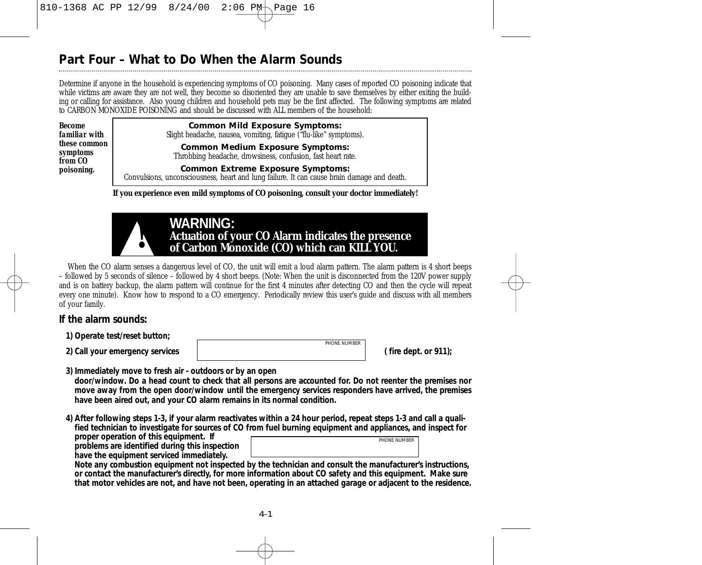## **Part Four – What to Do When the Alarm Sounds**

Determine if anyone in the household is experiencing symptoms of CO poisoning. Many cases of reported CO poisoning indicate that while victims are aware they are not well, they become so disoriented they are unable to save themselves by either exiting the building or calling for assistance. Also young children and household pets may be the first affected. The following symptoms are related to CARBON MONOXIDE POISONING and should be discussed with ALL members of the household:

*Become familiar with these common symptoms from CO poisoning.*

## **Common Mild Exposure Symptoms:**

Slight headache, nausea, vomiting, fatigue ("flu-like" symptoms).

**Common Medium Exposure Symptoms:** Throbbing headache, drowsiness, confusion, fast heart rate.

**Common Extreme Exposure Symptoms:** Convulsions, unconsciousness, heart and lung failure. It can cause brain damage and death.

**If you experience even mild symptoms of CO poisoning, consult your doctor immediately!**



When the CO alarm senses a dangerous level of CO, the unit will emit a loud alarm pattern. The alarm pattern is 4 short beeps – followed by 5 seconds of silence – followed by 4 short beeps. (Note: When the unit is disconnected from the 120V power supply and is on battery backup, the alarm pattern will continue for the first 4 minutes after detecting CO and then the cycle will repeat every one minute). Know how to respond to a CO emergency. Periodically review this user's guide and discuss with all members of your family.

## **If the alarm sounds:**

- **1) Operate test/reset button;**
- 

**2) Call your emergency services ( fire dept. or 911);** *PHONE NUMBER*

**3) Immediately move to fresh air - outdoors or by an open door/window. Do a head count to check that all persons are accounted for. Do not reenter the premises nor move away from the open door/window until the emergency services responders have arrived, the premises have been aired out, and your CO alarm remains in its normal condition.**

**4) After following steps 1-3, if your alarm reactivates within a 24 hour period, repeat steps 1-3 and call a qualified technician to investigate for sources of CO from fuel burning equipment and appliances, and inspect for**

**proper operation of this equipment. If problems are identified during this inspection have the equipment serviced immediately.** 



**Note any combustion equipment not inspected by the technician and consult the manufacturer's instructions, or contact the manufacturer's directly, for more information about CO safety and this equipment. Make sure that motor vehicles are not, and have not been, operating in an attached garage or adjacent to the residence.**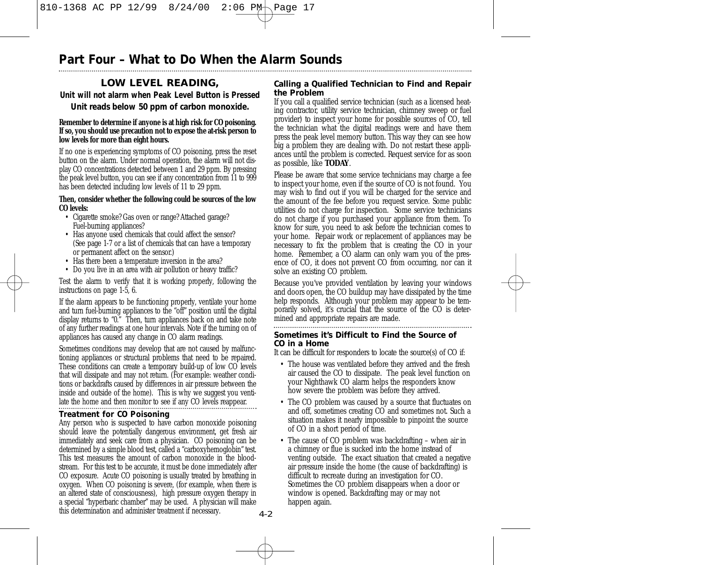## **Part Four – What to Do When the Alarm Sounds**

## **LOW LEVEL READING,**

## **Unit will not alarm when Peak Level Button is Pressed** *Unit reads below 50 ppm of carbon monoxide.*

#### **Remember to determine if anyone is at high risk for CO poisoning. If so, you should use precaution not to expose the at-risk person to low levels for more than eight hours.**

If no one is experiencing symptoms of CO poisoning, press the reset button on the alarm. Under normal operation, the alarm will not display CO concentrations detected between 1 and 29 ppm. By pressing the peak level button, you can see if any concentration from 11 to 999 has been detected including low levels of 11 to 29 ppm.

#### **Then, consider whether the following could be sources of the low CO levels:**

- Cigarette smoke? Gas oven or range? Attached garage? Fuel-burning appliances?
- Has anyone used chemicals that could affect the sensor? (See page 1-7 or a list of chemicals that can have a temporary or permanent affect on the sensor.)
- Has there been a temperature inversion in the area?
- Do you live in an area with air pollution or heavy traffic?

Test the alarm to verify that it is working properly, following the instructions on page 1-5, 6.

If the alarm appears to be functioning properly, ventilate your home and turn fuel-burning appliances to the "off" position until the digital display returns to "0." Then, turn appliances back on and take note of any further readings at one hour intervals. Note if the turning on of appliances has caused any change in CO alarm readings.

Sometimes conditions may develop that are not caused by malfunctioning appliances or structural problems that need to be repaired. These conditions can create a temporary build-up of low CO levels that will dissipate and may not return. (For example: weather conditions or backdrafts caused by differences in air pressure between the inside and outside of the home). This is why we suggest you ventilate the home and then monitor to see if any CO levels reappear.

## **Treatment for CO Poisoning**

Any person who is suspected to have carbon monoxide poisoning should leave the potentially dangerous environment, get fresh air immediately and seek care from a physician. CO poisoning can be determined by a simple blood test, called a "carboxyhemoglobin" test. This test measures the amount of carbon monoxide in the bloodstream. For this test to be accurate, it must be done immediately after CO exposure. Acute CO poisoning is usually treated by breathing in oxygen. When CO poisoning is severe, (for example, when there is an altered state of consciousness), high pressure oxygen therapy in a special "hyperbaric chamber" may be used. A physician will make this determination and administer treatment if necessary.

## **Calling a Qualified Technician to Find and Repair the Problem**

If you call a qualified service technician (such as a licensed heating contractor, utility service technician, chimney sweep or fuel provider) to inspect your home for possible sources of CO, tell the technician what the digital readings were and have them press the peak level memory button. This way they can see how big a problem they are dealing with. Do not restart these appliances until the problem is corrected. Request service for as soon as possible, like **TODAY**.

Please be aware that some service technicians may charge a fee to inspect your home, even if the source of CO is not found. You may wish to find out if you will be charged for the service and the amount of the fee before you request service. Some public utilities do not charge for inspection. Some service technicians do not charge if you purchased your appliance from them. To know for sure, you need to ask before the technician comes to your home. Repair work or replacement of appliances may be necessary to fix the problem that is creating the CO in your home. Remember, a CO alarm can only warn you of the presence of CO, it does not prevent CO from occurring, nor can it solve an existing CO problem.

Because you've provided ventilation by leaving your windows and doors open, the CO buildup may have dissipated by the time help responds. Although your problem may appear to be temporarily solved, it's crucial that the source of the CO is determined and appropriate repairs are made.

**Sometimes it's Difficult to Find the Source of CO in a Home**

It can be difficult for responders to locate the source(s) of CO if:

- The house was ventilated before they arrived and the fresh air caused the CO to dissipate. The peak level function on your Nighthawk CO alarm helps the responders know how severe the problem was before they arrived.
- The CO problem was caused by a source that fluctuates on and off, sometimes creating CO and sometimes not. Such a situation makes it nearly impossible to pinpoint the source of CO in a short period of time.
- The cause of CO problem was backdrafting when air in a chimney or flue is sucked into the home instead of venting outside. The exact situation that created a negative air pressure inside the home (the cause of backdrafting) is difficult to recreate during an investigation for CO. Sometimes the CO problem disappears when a door or window is opened. Backdrafting may or may not happen again.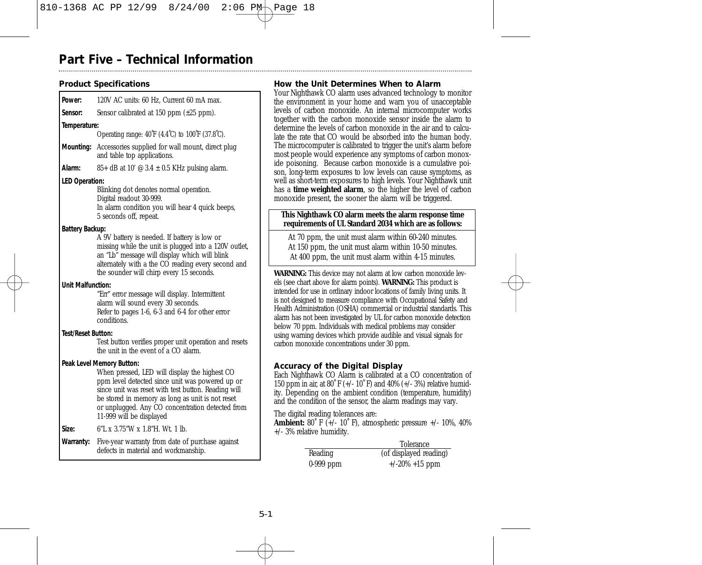## **Part Five – Technical Information**

## **Product Specifications**

| Power:                    | 120V AC units: 60 Hz, Current 60 mA max.                                                                                                                                                                                                                                                    |
|---------------------------|---------------------------------------------------------------------------------------------------------------------------------------------------------------------------------------------------------------------------------------------------------------------------------------------|
| Sensor:                   | Sensor calibrated at $150$ ppm $(\pm 25$ ppm).                                                                                                                                                                                                                                              |
| Temperature:              |                                                                                                                                                                                                                                                                                             |
|                           | Operating range: 40°F (4.4°C) to 100°F (37.8°C).                                                                                                                                                                                                                                            |
| Mounting:                 | Accessories supplied for wall mount, direct plug<br>and table top applications.                                                                                                                                                                                                             |
| Alarm:                    | 85+ dB at 10' $\circledcirc$ 3.4 $\pm$ 0.5 KHz pulsing alarm.                                                                                                                                                                                                                               |
| <b>LED Operation:</b>     |                                                                                                                                                                                                                                                                                             |
|                           | Blinking dot denotes normal operation.<br>Digital readout 30-999.<br>In alarm condition you will hear 4 quick beeps,<br>5 seconds off, repeat.                                                                                                                                              |
| <b>Battery Backup:</b>    |                                                                                                                                                                                                                                                                                             |
|                           | A 9V battery is needed. If battery is low or<br>missing while the unit is plugged into a 120V outlet,<br>an "Lb" message will display which will blink<br>alternately with a the CO reading every second and<br>the sounder will chirp every 15 seconds.                                    |
| Unit Malfunction:         |                                                                                                                                                                                                                                                                                             |
|                           | "Err" error message will display. Intermittent<br>alarm will sound every 30 seconds.<br>Refer to pages 1-6, 6-3 and 6-4 for other error<br>conditions.                                                                                                                                      |
| <b>Test/Reset Button:</b> |                                                                                                                                                                                                                                                                                             |
|                           | Test button verifies proper unit operation and resets<br>the unit in the event of a CO alarm.                                                                                                                                                                                               |
|                           | Peak Level Memory Button:                                                                                                                                                                                                                                                                   |
|                           | When pressed, LED will display the highest CO<br>ppm level detected since unit was powered up or<br>since unit was reset with test button. Reading will<br>be stored in memory as long as unit is not reset<br>or unplugged. Any CO concentration detected from<br>11-999 will be displayed |
| Size:                     | 6"L x 3.75"W x 1.8"H Wt 1. lb                                                                                                                                                                                                                                                               |
| Warranty:                 | Five-year warranty from date of purchase against<br>defects in material and workmanship.                                                                                                                                                                                                    |

## **How the Unit Determines When to Alarm**

Your Nighthawk CO alarm uses advanced technology to monitor the environment in your home and warn you of unacceptable levels of carbon monoxide. An internal microcomputer works together with the carbon monoxide sensor inside the alarm to determine the levels of carbon monoxide in the air and to calculate the rate that CO would be absorbed into the human body. The microcomputer is calibrated to trigger the unit's alarm before most people would experience any symptoms of carbon monoxide poisoning. Because carbon monoxide is a cumulative poison, long-term exposures to low levels can cause symptoms, as well as short-term exposures to high levels. Your Nighthawk unit has a **time weighted alarm**, so the higher the level of carbon monoxide present, the sooner the alarm will be triggered.

#### **This Nighthawk CO alarm meets the alarm response time requirements of UL Standard 2034 which are as follows:**

At 70 ppm, the unit must alarm within 60-240 minutes. At 150 ppm, the unit must alarm within 10-50 minutes. At 400 ppm, the unit must alarm within 4-15 minutes.

**WARNING:** This device may not alarm at low carbon monoxide levels (see chart above for alarm points). **WARNING:** This product is intended for use in ordinary indoor locations of family living units. It is not designed to measure compliance with Occupational Safety and Health Administration (OSHA) commercial or industrial standards. This alarm has not been investigated by UL for carbon monoxide detection below 70 ppm. Individuals with medical problems may consider using warning devices which provide audible and visual signals for carbon monoxide concentrations under 30 ppm.

## **Accuracy of the Digital Display**

Each Nighthawk CO Alarm is calibrated at a CO concentration of 150 ppm in air, at 80˚ F (+/- 10˚ F) and 40% (+/- 3%) relative humidity. Depending on the ambient condition (temperature, humidity) and the condition of the sensor, the alarm readings may vary.

The digital reading tolerances are:

**Ambient:** 80˚ F (+/- 10˚ F), atmospheric pressure +/- 10%, 40% +/- 3% relative humidity.

|             | Tolerance              |
|-------------|------------------------|
| Reading     | (of displayed reading) |
| $0-999$ ppm | $+/-20\% +15$ ppm      |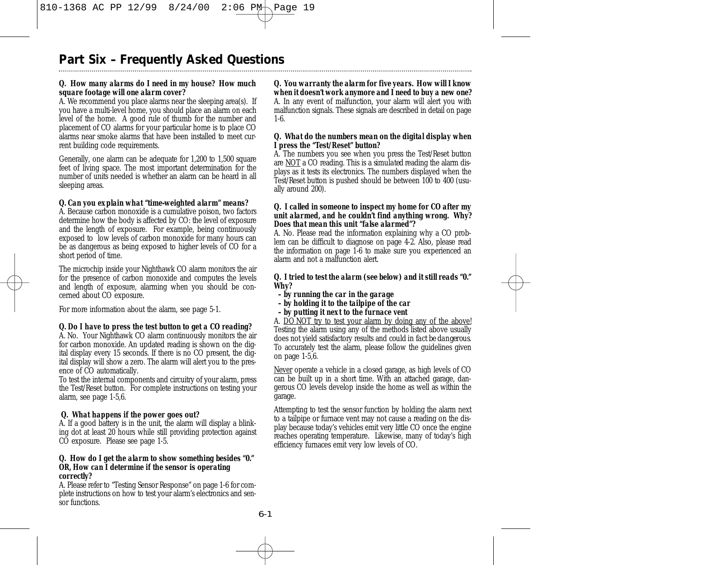# **Part Six – Frequently Asked Questions**

## *Q. How many alarms do I need in my house? How much square footage will one alarm cover?*

A. We recommend you place alarms near the sleeping area(s). If you have a multi-level home, you should place an alarm on each level of the home. A good rule of thumb for the number and placement of CO alarms for your particular home is to place CO alarms near smoke alarms that have been installed to meet current building code requirements.

Generally, one alarm can be adequate for 1,200 to 1,500 square feet of living space. The most important determination for the number of units needed is whether an alarm can be heard in all sleeping areas.

## *Q. Can you explain what "time-weighted alarm" means?*

A. Because carbon monoxide is a cumulative poison, two factors determine how the body is affected by CO: the level of exposure and the length of exposure. For example, being continuously exposed to low levels of carbon monoxide for many hours can be as dangerous as being exposed to higher levels of CO for a short period of time.

The microchip inside your Nighthawk CO alarm monitors the air for the presence of carbon monoxide and computes the levels and length of exposure, alarming when you should be concerned about CO exposure.

For more information about the alarm, see page 5-1.

## *Q. Do I have to press the test button to get a CO reading?*

A. No. Your Nighthawk CO alarm continuously monitors the air for carbon monoxide. An updated reading is shown on the digital display every 15 seconds. If there is no CO present, the digital display will show a zero. The alarm will alert you to the presence of CO automatically.

To test the internal components and circuitry of your alarm, press the Test/Reset button. For complete instructions on testing your alarm, see page 1-5,6.

## *Q. What happens if the power goes out?*

A. If a good battery is in the unit, the alarm will display a blinking dot at least 20 hours while still providing protection against CO exposure. Please see page 1-5.

#### *Q. How do I get the alarm to show something besides "0." OR, How can I determine if the sensor is operating correctly?*

A. Please refer to "Testing Sensor Response" on page 1-6 for complete instructions on how to test your alarm's electronics and sensor functions.

### *Q. You warranty the alarm for five years. How will I know when it doesn't work anymore and I need to buy a new one?*

A. In any event of malfunction, your alarm will alert you with malfunction signals. These signals are described in detail on page 1-6.

### *Q. What do the numbers mean on the digital display when I press the "Test/Reset" button?*

A. The numbers you see when you press the Test/Reset button are NOT a CO reading. This is a *simulated* reading the alarm displays as it tests its electronics. The numbers displayed when the Test/Reset button is pushed should be between 100 to 400 (usually around 200).

#### *Q. I called in someone to inspect my home for CO after my unit alarmed, and he couldn't find anything wrong. Why? Does that mean this unit "false alarmed"?*

A. No. Please read the information explaining why a CO problem can be difficult to diagnose on page 4-2. Also, please read the information on page 1-6 to make sure you experienced an alarm and not a malfunction alert.

### *Q. I tried to test the alarm (see below) and it still reads "0." Why?*

- *by running the car in the garage*
- *by holding it to the tailpipe of the car*
- *by putting it next to the furnace vent*

A. DO NOT try to test your alarm by doing any of the above! Testing the alarm using any of the methods listed above usually does not yield satisfactory results and *could in fact be dangerous*. To accurately test the alarm, please follow the guidelines given on page 1-5,6.

Never operate a vehicle in a closed garage, as high levels of CO can be built up in a short time. With an attached garage, dangerous CO levels develop inside the home as well as within the garage.

Attempting to test the sensor function by holding the alarm next to a tailpipe or furnace vent may not cause a reading on the display because today's vehicles emit very little CO once the engine reaches operating temperature. Likewise, many of today's high efficiency furnaces emit very low levels of CO.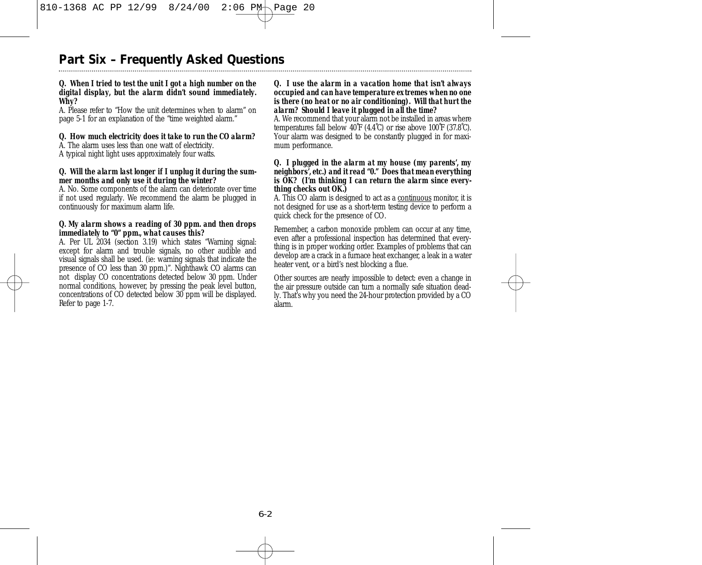## **Part Six – Frequently Asked Questions**

### *Q. When I tried to test the unit I got a high number on the digital display, but the alarm didn't sound immediately. Why?*

A. Please refer to "How the unit determines when to alarm" on page 5-1 for an explanation of the "time weighted alarm."

## *Q. How much electricity does it take to run the CO alarm?*

A. The alarm uses less than one watt of electricity. A typical night light uses approximately four watts.

### *Q. Will the alarm last longer if I unplug it during the summer months and only use it during the winter?*

A. No. Some components of the alarm can deteriorate over time if not used regularly. We recommend the alarm be plugged in continuously for maximum alarm life.

#### *Q. My alarm shows a reading of 30 ppm. and then drops immediately to "0" ppm., what causes this?*

A. Per UL 2034 (section 3.19) which states "Warning signal: except for alarm and trouble signals, no other audible and visual signals shall be used. (ie: warning signals that indicate the presence of CO less than 30 ppm.)". Nighthawk CO alarms can not display CO concentrations detected below 30 ppm. Under normal conditions, however, by pressing the peak level button, concentrations of CO detected below 30 ppm will be displayed. Refer to page 1-7.

#### *Q. I use the alarm in a vacation home that isn't always occupied and can have temperature extremes when no one is there (no heat or no air conditioning). Will that hurt the alarm? Should I leave it plugged in all the time?*

A. We recommend that your alarm not be installed in areas where temperatures fall below 40˚F (4.4˚C) or rise above 100˚F (37.8˚C). Your alarm was designed to be constantly plugged in for maximum performance.

#### *Q. I plugged in the alarm at my house (my parents', my neighbors', etc.) and it read "0." Does that mean everything is OK? (I'm thinking I can return the alarm since everything checks out OK.)*

A. This CO alarm is designed to act as a continuous monitor, it is not designed for use as a short-term testing device to perform a quick check for the presence of CO.

Remember, a carbon monoxide problem can occur at any time, even after a professional inspection has determined that everything is in proper working order. Examples of problems that can develop are a crack in a furnace heat exchanger, a leak in a water heater vent, or a bird's nest blocking a flue.

Other sources are nearly impossible to detect: even a change in the air pressure outside can turn a normally safe situation deadly. That's why you need the 24-hour protection provided by a CO alarm.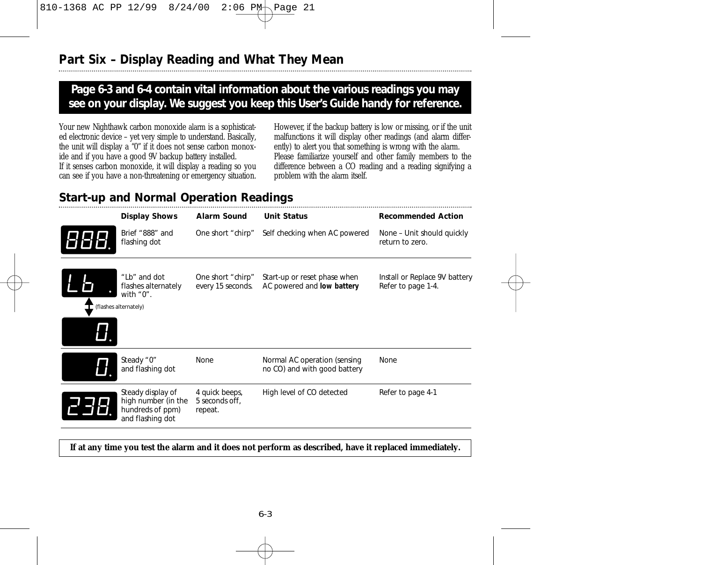## **Page 6-3 and 6-4 contain vital information about the various readings you may see on your display. We suggest you keep this User's Guide handy for reference.**

Your new Nighthawk carbon monoxide alarm is a sophisticated electronic device – yet very simple to understand. Basically, the unit will display a "0" if it does not sense carbon monoxide and if you have a good 9V backup battery installed. If it senses carbon monoxide, it will display a reading so you can see if you have a non-threatening or emergency situation.

However, if the backup battery is low or missing, or if the unit malfunctions it will display other readings (and alarm differently) to alert you that something is wrong with the alarm. Please familiarize yourself and other family members to the difference between a CO reading and a reading signifying a problem with the alarm itself.

## **Start-up and Normal Operation Readings**

| <b>Display Shows</b>                                                             | <b>Alarm Sound</b>                          | <b>Unit Status</b>                                           | <b>Recommended Action</b>                           |
|----------------------------------------------------------------------------------|---------------------------------------------|--------------------------------------------------------------|-----------------------------------------------------|
| Brief "888" and<br>flashing dot                                                  | One short "chirp"                           | Self checking when AC powered                                | None - Unit should quickly<br>return to zero.       |
| "Lb" and dot<br>flashes alternately<br>with $"0"$ .<br>(flashes alternately)     | One short "chirp"<br>every 15 seconds.      | Start-up or reset phase when<br>AC powered and low battery   | Install or Replace 9V battery<br>Refer to page 1-4. |
| Steady "0"<br>and flashing dot                                                   | None                                        | Normal AC operation (sensing<br>no CO) and with good battery | None                                                |
| Steady display of<br>high number (in the<br>hundreds of ppm)<br>and flashing dot | 4 quick beeps,<br>5 seconds off,<br>repeat. | High level of CO detected                                    | Refer to page 4-1                                   |

## **If at any time you test the alarm and it does not perform as described, have it replaced immediately.**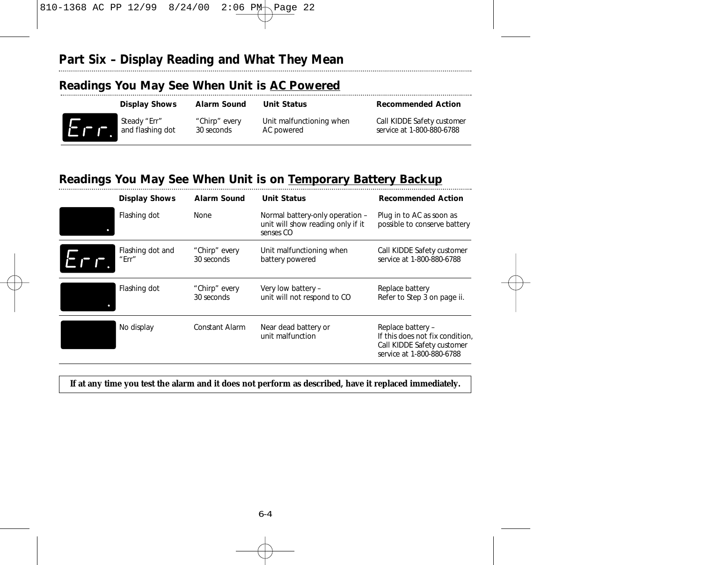# **Part Six – Display Reading and What They Mean**

## **Readings You May See When Unit is AC Powered**

| Steady "Err"<br>and flashing dot<br>п. | "Chirp" every<br>30 seconds | Unit malfunctioning when<br>AC powered | Call KIDDE Safety customer<br>service at 1-800-880-6788 |
|----------------------------------------|-----------------------------|----------------------------------------|---------------------------------------------------------|

## **Readings You May See When Unit is on Temporary Battery Backup**

| <b>Display Shows</b>      | <b>Alarm Sound</b>          | <b>Unit Status</b>                                                                | <b>Recommended Action</b>                                                                                       |
|---------------------------|-----------------------------|-----------------------------------------------------------------------------------|-----------------------------------------------------------------------------------------------------------------|
| Flashing dot              | None                        | Normal battery-only operation -<br>unit will show reading only if it<br>senses CO | Plug in to AC as soon as<br>possible to conserve battery                                                        |
| Flashing dot and<br>"Err" | "Chirp" every<br>30 seconds | Unit malfunctioning when<br>battery powered                                       | Call KIDDE Safety customer<br>service at 1-800-880-6788                                                         |
| Flashing dot              | "Chirp" every<br>30 seconds | Very low battery -<br>unit will not respond to CO                                 | Replace battery<br>Refer to Step 3 on page ii.                                                                  |
| No display                | Constant Alarm              | Near dead battery or<br>unit malfunction                                          | Replace battery -<br>If this does not fix condition,<br>Call KIDDE Safety customer<br>service at 1-800-880-6788 |

## **If at any time you test the alarm and it does not perform as described, have it replaced immediately.**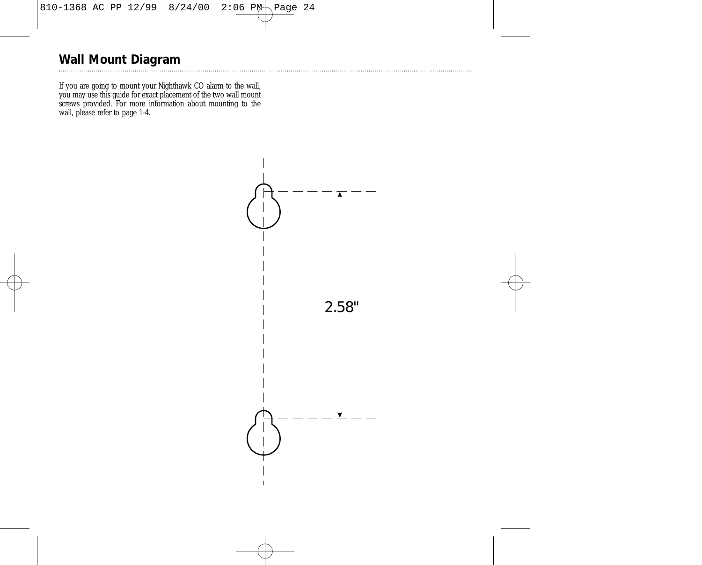# **Wall Mount Diagram**

If you are going to mount your Nighthawk CO alarm to the wall, you may use this guide for exact placement of the two wall mount screws provided. For more information about mounting to the wall, please refer to page 1-4.